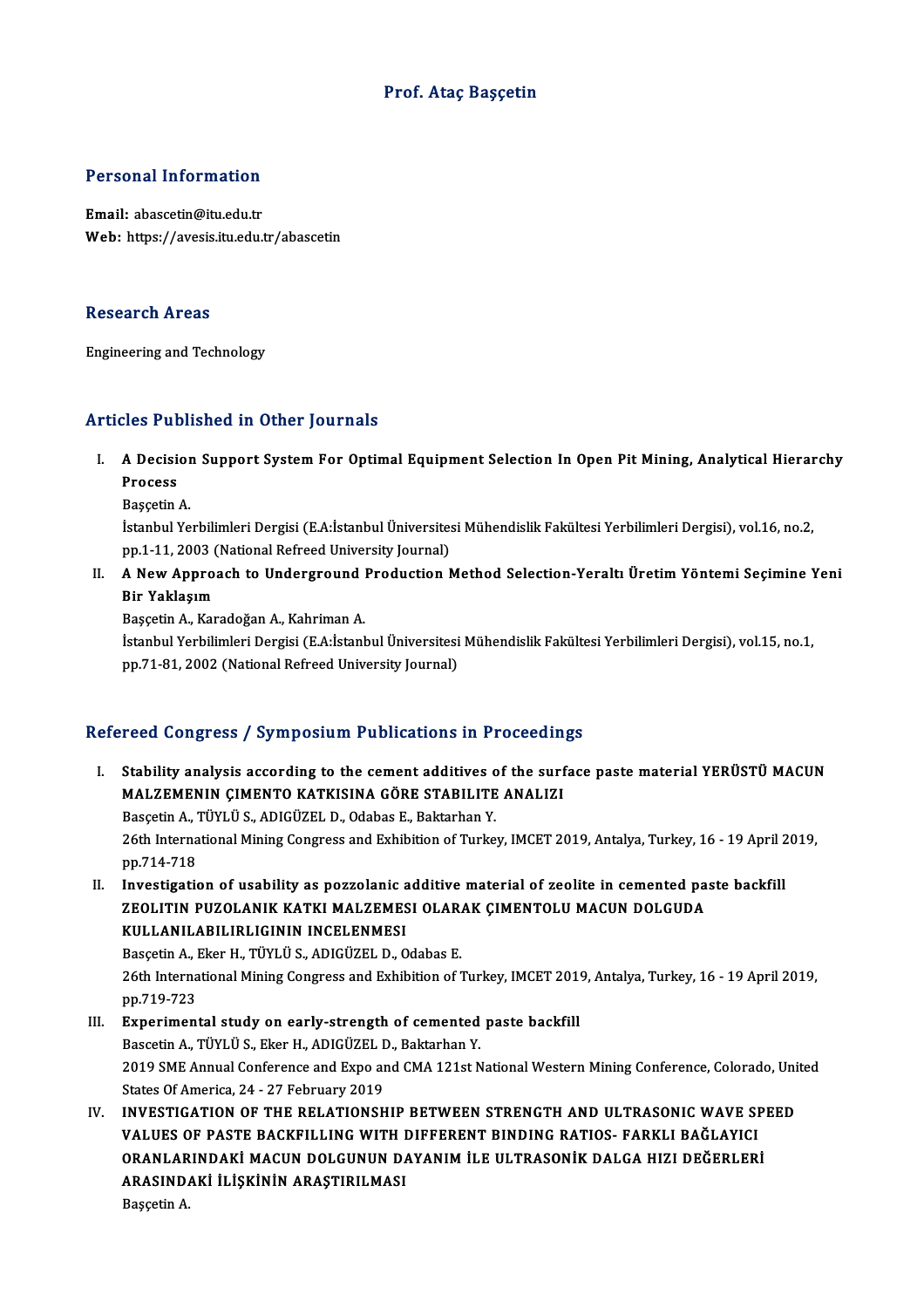### Prof. Ataç Başçetin

### Personal Information

Email: abascetin@itu.edu.tr Web: https://avesis.itu.edu.tr/abascetin

#### **Research Areas**

Engineering and Technology

#### Articles Published in Other Journals

- rticles Published in Other Journals<br>I. A Decision Support System For Optimal Equipment Selection In Open Pit Mining, Analytical Hierarchy<br>Russess A Decisi<br>A Decisi<br>Process A Decision<br>Process<br>Başçetin A.<br>İstanbul Yo
	-

Process<br>Başçetin A.<br>İstanbul Yerbilimleri Dergisi (E.A:İstanbul Üniversitesi Mühendislik Fakültesi Yerbilimleri Dergisi), vol.16, no.2, Başçetin A.<br>İstanbul Yerbilimleri Dergisi (E.A:İstanbul Üniversite:<br>pp.1-11, 2003 (National Refreed University Journal)<br>A Now Annreach to Underground Broduction A Istanbul Yerbilimleri Dergisi (E.A:İstanbul Üniversitesi Mühendislik Fakültesi Yerbilimleri Dergisi), vol.16, no.2,<br>pp.1-11, 2003 (National Refreed University Journal)<br>II. A New Approach to Underground Production Metho

pp.1-11, 2003 (<br>A New Appro:<br>Bir Yaklaşım<br><sup>Bassetin A</sup> Kar A New Approach to Underground |<br>Bir Yaklaşım<br>Başçetin A., Karadoğan A., Kahriman A.<br>İstanbul Yarbilimleri Dergisi (E.A.İstanl Bir Yaklaşım<br>Başçetin A., Karadoğan A., Kahriman A.<br>İstanbul Yerbilimleri Dergisi (E.A:İstanbul Üniversitesi Mühendislik Fakültesi Yerbilimleri Dergisi), vol.15, no.1,

pp.71-81, 2002 (National Refreed University Journal)

## Refereed Congress / Symposium Publications in Proceedings

Efereed Congress / Symposium Publications in Proceedings<br>I. Stability analysis according to the cement additives of the surface paste material YERÜSTÜ MACUN<br>MALZEMENIN CIMENTO KATKISINA CÕRE STARU ITE ANALIZI Stability analysis according to the cement additives of the surf<br>MALZEMENIN ÇIMENTO KATKISINA GÖRE STABILITE ANALIZI<br>Pessatin A TÜVLÜS ADICÜZELD Odabas E Paktarban V Stability analysis according to the cement additives of MALZEMENIN CIMENTO KATKISINA GÖRE STABILITE<br>Basçetin A., TÜYLÜ S., ADIGÜZEL D., Odabas E., Baktarhan Y.<br>26th International Mining Congress and Erbibition of Turke MALZEMENIN ÇIMENTO KATKISINA GÖRE STABILITE ANALIZI<br>Basçetin A., TÜYLÜ S., ADIGÜZEL D., Odabas E., Baktarhan Y.<br>26th International Mining Congress and Exhibition of Turkey, IMCET 2019, Antalya, Turkey, 16 - 19 April 2019,<br> Basçetin A., 7<br>26th Interna<br>pp.714-718<br>Investigatie

26th International Mining Congress and Exhibition of Turkey, IMCET 2019, Antalya, Turkey, 16 - 19 April<br>pp.714-718<br>II. Investigation of usability as pozzolanic additive material of zeolite in cemented paste backfill<br>TEOLIT

pp.714-718<br>Investigation of usability as pozzolanic additive material of zeolite in cemented pa<br>ZEOLITIN PUZOLANIK KATKI MALZEMESI OLARAK ÇIMENTOLU MACUN DOLGUDA<br>KIILLANILARILIRI ICININ INCELENMESI Investigation of usability as pozzolanic a<br>ZEOLITIN PUZOLANIK KATKI MALZEMES<br>KULLANILABILIRLIGININ INCELENMESI<br>Possatin A. Ekon H. Tüvlüs, ADICÜZEL D. O ZEOLITIN PUZOLANIK KATKI MALZEMESI OLAR.<br>KULLANILABILIRLIGININ INCELENMESI<br>Basçetin A., Eker H., TÜYLÜ S., ADIGÜZEL D., Odabas E.<br>26th International Mining Congrees and Eubibition of 7

KULLANILABILIRLIGININ INCELENMESI<br>Basçetin A., Eker H., TÜYLÜ S., ADIGÜZEL D., Odabas E.<br>26th International Mining Congress and Exhibition of Turkey, IMCET 2019, Antalya, Turkey, 16 - 19 April 2019,<br>pp.719.722 Basçetin A., I<br>26th Interna<br>pp.719-723<br>Experiment 26th International Mining Congress and Exhibition of Turkey, IMCET 201<br>pp.719-723<br>III. Experimental study on early-strength of cemented paste backfill<br>Pascetin A. Tilvi is Flier H. ADICITEL D. Pakterban Y.

- pp.719-723<br><mark>Experimental study on early-strength of cemented</mark><br>Bascetin A., TÜYLÜ S., Eker H., ADIGÜZEL D., Baktarhan Y.<br>2019 SME Annual Conference and Eyne and CMA 121st N III. Experimental study on early-strength of cemented paste backfill<br>Bascetin A., TÜYLÜ S., Eker H., ADIGÜZEL D., Baktarhan Y.<br>2019 SME Annual Conference and Expo and CMA 121st National Western Mining Conference, Colorado, Bascetin A., TÜYLÜ S., Eker H., ADIGÜZEL I<br>2019 SME Annual Conference and Expo ar<br>States Of America, 24 - 27 February 2019<br>INVESTIC ATION OF THE PELATIONSH 2019 SME Annual Conference and Expo and CMA 121st National Western Mining Conference, Colorado, Uni<br>States Of America, 24 - 27 February 2019<br>IV. INVESTIGATION OF THE RELATIONSHIP BETWEEN STRENGTH AND ULTRASONIC WAVE SPEED<br>
- States Of America, 24 27 February 2019<br>INVESTIGATION OF THE RELATIONSHIP BETWEEN STRENGTH AND ULTRASONIC WAVE SI<br>VALUES OF PASTE BACKFILLING WITH DIFFERENT BINDING RATIOS- FARKLI BAĞLAYICI<br>ORANLARINDAKI MACIJN DOLGINUN D INVESTIGATION OF THE RELATIONSHIP BETWEEN STRENGTH AND ULTRASONIC WAVE SP<br>VALUES OF PASTE BACKFILLING WITH DIFFERENT BINDING RATIOS- FARKLI BAĞLAYICI<br>ORANLARINDAKİ MACUN DOLGUNUN DAYANIM İLE ULTRASONİK DALGA HIZI DEĞERLERİ VALUES OF PASTE BACKFILLING WITH I<br>ORANLARINDAKİ MACUN DOLGUNUN D*I*<br>ARASINDAKİ İLİŞKİNİN ARAŞTIRILMASI<br>Possatin A ORANLAR<br>ARASIND*ı*<br>Başçetin A.